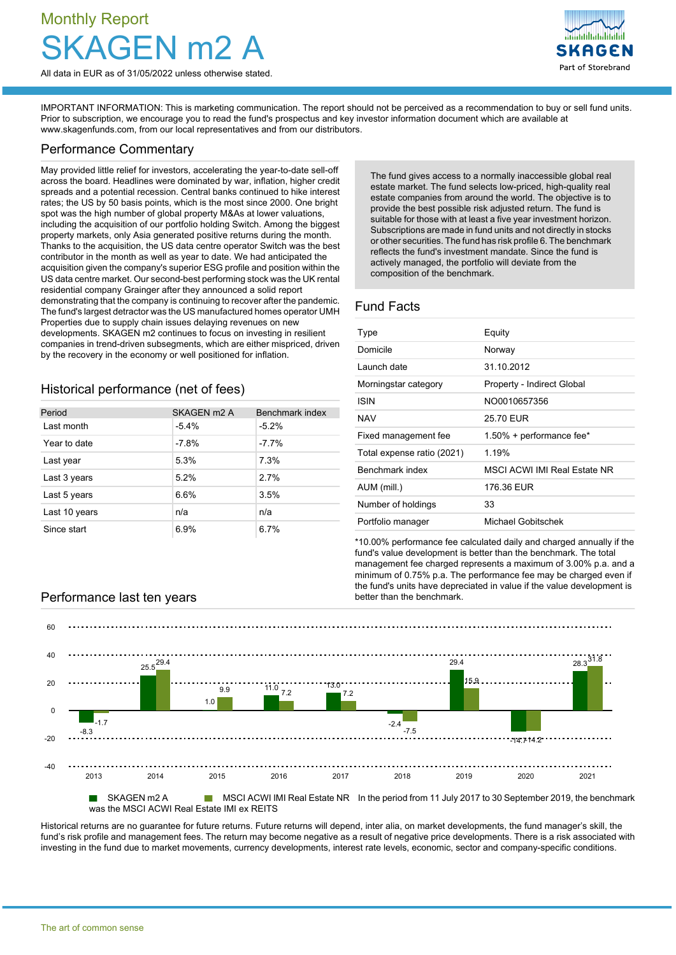# Monthly Report  $m<sup>2</sup>$

All data in EUR as of 31/05/2022 unless otherwise stated.

Part of Storebrand

IMPORTANT INFORMATION: This is marketing communication. The report should not be perceived as a recommendation to buy or sell fund units. Prior to subscription, we encourage you to read the fund's prospectus and key investor information document which are available at [www.skagenfunds.com](http://www.skagenfunds.com), from our local representatives and from our distributors.

## Performance Commentary

May provided little relief for investors, accelerating the year-to-date sell-off across the board. Headlines were dominated by war, inflation, higher credit spreads and a potential recession. Central banks continued to hike interest rates; the US by 50 basis points, which is the most since 2000. One bright spot was the high number of global property M&As at lower valuations, including the acquisition of our portfolio holding Switch. Among the biggest property markets, only Asia generated positive returns during the month. Thanks to the acquisition, the US data centre operator Switch was the best contributor in the month as well as year to date. We had anticipated the acquisition given the company's superior ESG profile and position within the US data centre market. Our second-best performing stock was the UK rental residential company Grainger after they announced a solid report demonstrating that the company is continuing to recover after the pandemic. The fund's largest detractor was the US manufactured homes operator UMH Properties due to supply chain issues delaying revenues on new developments. SKAGEN m2 continues to focus on investing in resilient companies in trend-driven subsegments, which are either mispriced, driven by the recovery in the economy or well positioned for inflation.

Historical performance (net of fees)

| Period        | SKAGEN m2 A | Benchmark index |
|---------------|-------------|-----------------|
| I ast month   | $-5.4%$     | $-5.2%$         |
| Year to date  | $-7.8%$     | $-7.7%$         |
| Last year     | 5.3%        | 7.3%            |
| Last 3 years  | 5.2%        | 27%             |
| Last 5 years  | 6.6%        | 3.5%            |
| Last 10 years | n/a         | n/a             |
| Since start   | 6.9%        | 6.7%            |

The fund gives access to a normally inaccessible global real estate market. The fund selects low-priced, high-quality real estate companies from around the world. The objective is to provide the best possible risk adjusted return. The fund is suitable for those with at least a five year investment horizon. Subscriptions are made in fund units and not directly in stocks or other securities. The fund has risk profile 6. The benchmark reflects the fund's investment mandate. Since the fund is actively managed, the portfolio will deviate from the composition of the benchmark.

# Fund Facts

| Type                       | Equity                     |
|----------------------------|----------------------------|
| Domicile                   | Norway                     |
| Launch date                | 31.10.2012                 |
| Morningstar category       | Property - Indirect Global |
| ISIN                       | NO0010657356               |
| NAV                        | 25.70 EUR                  |
| Fixed management fee       | 1.50% + performance fee*   |
| Total expense ratio (2021) | 1 19%                      |
| Benchmark index            | MSCLACWLIMLReal Estate NR  |
| AUM (mill.)                | 176.36 EUR                 |
| Number of holdings         | 33                         |
| Portfolio manager          | Michael Gobitschek         |

\*10.00% performance fee calculated daily and charged annually if the fund's value development is better than the benchmark. The total management fee charged represents a maximum of 3.00% p.a. and a minimum of 0.75% p.a. The performance fee may be charged even if the fund's units have depreciated in value if the value development is

## Performance last ten years better than the benchmark.



■ SKAGEN m2 A MSCI ACWI IMI Real Estate NR In the period from 11 July 2017 to 30 September 2019, the benchmark was the MSCI ACWI Real Estate IMI ex REITS

Historical returns are no guarantee for future returns. Future returns will depend, inter alia, on market developments, the fund manager's skill, the fund's risk profile and management fees. The return may become negative as a result of negative price developments. There is a risk associated with investing in the fund due to market movements, currency developments, interest rate levels, economic, sector and company-specific conditions.